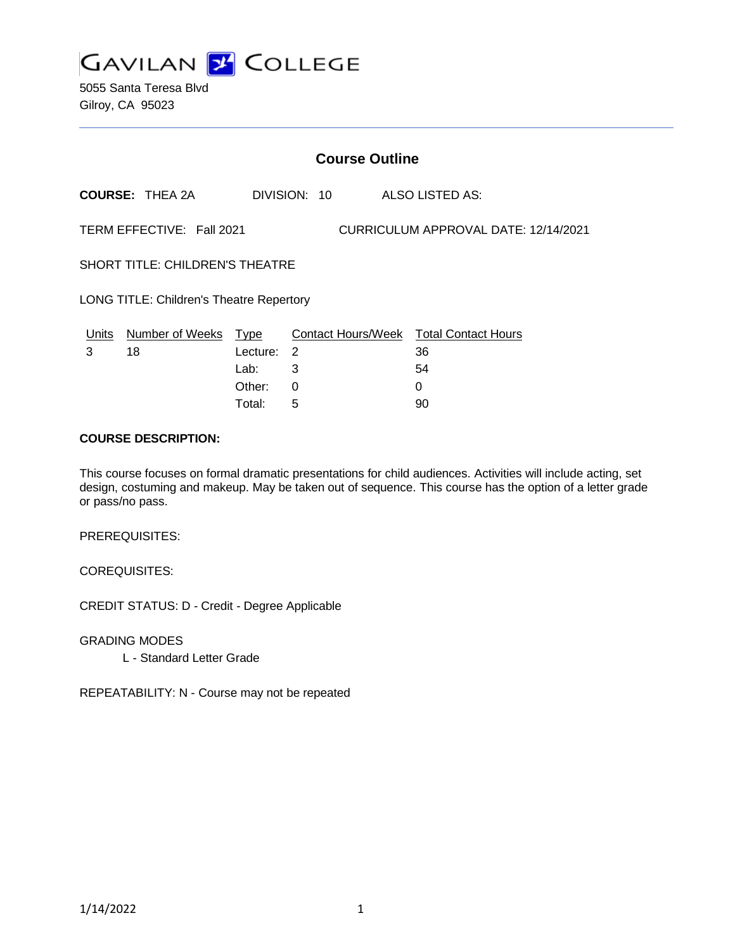

5055 Santa Teresa Blvd Gilroy, CA 95023

|                                                 | <b>Course Outline</b>      |                  |              |                                      |                                                    |  |  |
|-------------------------------------------------|----------------------------|------------------|--------------|--------------------------------------|----------------------------------------------------|--|--|
|                                                 | <b>COURSE: THEA 2A</b>     |                  | DIVISION: 10 |                                      | ALSO LISTED AS:                                    |  |  |
|                                                 | TERM EFFECTIVE: Fall 2021  |                  |              | CURRICULUM APPROVAL DATE: 12/14/2021 |                                                    |  |  |
| <b>SHORT TITLE: CHILDREN'S THEATRE</b>          |                            |                  |              |                                      |                                                    |  |  |
| <b>LONG TITLE: Children's Theatre Repertory</b> |                            |                  |              |                                      |                                                    |  |  |
| Units<br>3                                      | Number of Weeks Type<br>18 | Lecture:<br>Lab: | 2<br>3       |                                      | Contact Hours/Week Total Contact Hours<br>36<br>54 |  |  |
|                                                 |                            | Other:           | 0            |                                      | 0                                                  |  |  |

Total: 5 90

#### **COURSE DESCRIPTION:**

This course focuses on formal dramatic presentations for child audiences. Activities will include acting, set design, costuming and makeup. May be taken out of sequence. This course has the option of a letter grade or pass/no pass.

PREREQUISITES:

COREQUISITES:

CREDIT STATUS: D - Credit - Degree Applicable

GRADING MODES

L - Standard Letter Grade

REPEATABILITY: N - Course may not be repeated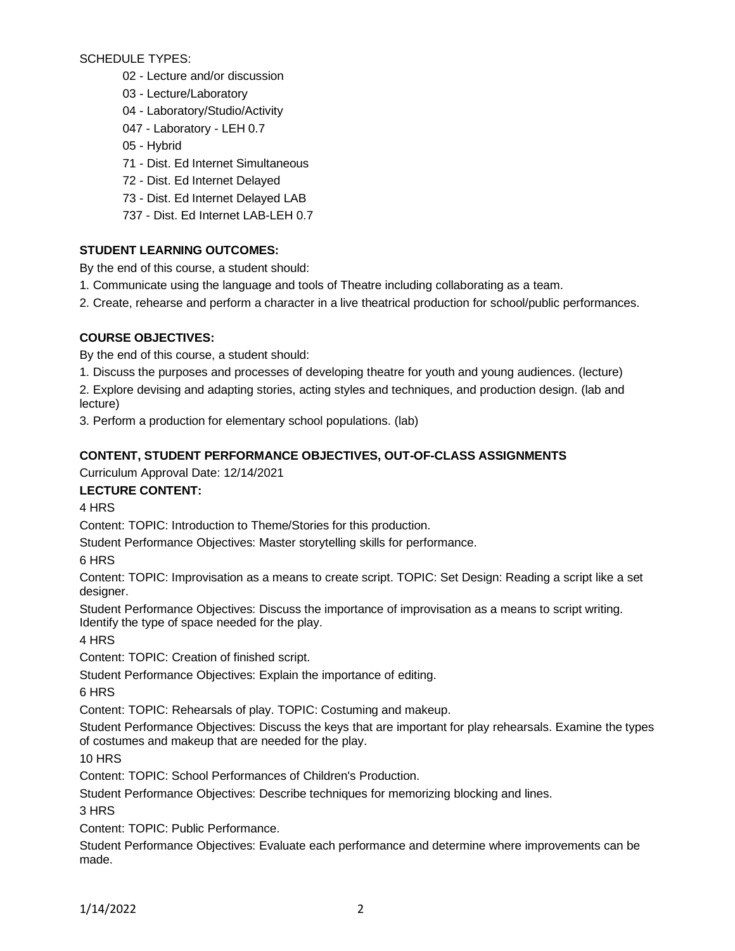SCHEDULE TYPES:

- 02 Lecture and/or discussion
- 03 Lecture/Laboratory
- 04 Laboratory/Studio/Activity
- 047 Laboratory LEH 0.7
- 05 Hybrid
- 71 Dist. Ed Internet Simultaneous
- 72 Dist. Ed Internet Delayed
- 73 Dist. Ed Internet Delayed LAB
- 737 Dist. Ed Internet LAB-LEH 0.7

## **STUDENT LEARNING OUTCOMES:**

By the end of this course, a student should:

- 1. Communicate using the language and tools of Theatre including collaborating as a team.
- 2. Create, rehearse and perform a character in a live theatrical production for school/public performances.

## **COURSE OBJECTIVES:**

By the end of this course, a student should:

1. Discuss the purposes and processes of developing theatre for youth and young audiences. (lecture)

2. Explore devising and adapting stories, acting styles and techniques, and production design. (lab and lecture)

3. Perform a production for elementary school populations. (lab)

## **CONTENT, STUDENT PERFORMANCE OBJECTIVES, OUT-OF-CLASS ASSIGNMENTS**

Curriculum Approval Date: 12/14/2021

**LECTURE CONTENT:**

4 HRS

Content: TOPIC: Introduction to Theme/Stories for this production.

Student Performance Objectives: Master storytelling skills for performance.

6 HRS

Content: TOPIC: Improvisation as a means to create script. TOPIC: Set Design: Reading a script like a set designer.

Student Performance Objectives: Discuss the importance of improvisation as a means to script writing. Identify the type of space needed for the play.

4 HRS

Content: TOPIC: Creation of finished script.

Student Performance Objectives: Explain the importance of editing.

6 HRS

Content: TOPIC: Rehearsals of play. TOPIC: Costuming and makeup.

Student Performance Objectives: Discuss the keys that are important for play rehearsals. Examine the types of costumes and makeup that are needed for the play.

10 HRS

Content: TOPIC: School Performances of Children's Production.

Student Performance Objectives: Describe techniques for memorizing blocking and lines.

3 HRS

Content: TOPIC: Public Performance.

Student Performance Objectives: Evaluate each performance and determine where improvements can be made.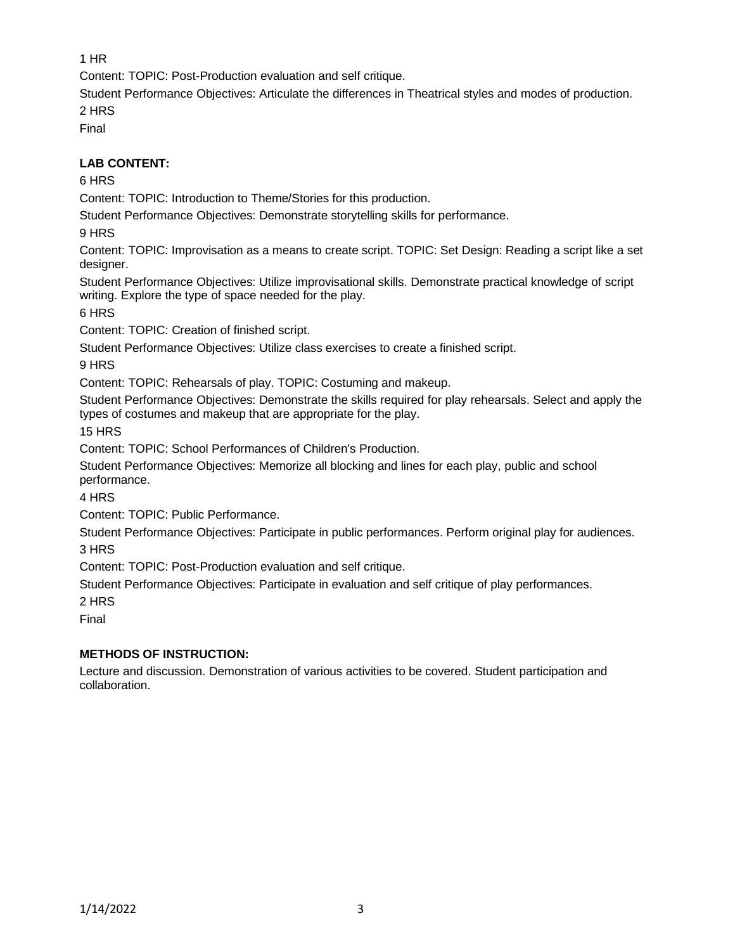1 HR

Content: TOPIC: Post-Production evaluation and self critique.

Student Performance Objectives: Articulate the differences in Theatrical styles and modes of production. 2 HRS

Final

# **LAB CONTENT:**

## 6 HRS

Content: TOPIC: Introduction to Theme/Stories for this production.

Student Performance Objectives: Demonstrate storytelling skills for performance.

9 HRS

Content: TOPIC: Improvisation as a means to create script. TOPIC: Set Design: Reading a script like a set designer.

Student Performance Objectives: Utilize improvisational skills. Demonstrate practical knowledge of script writing. Explore the type of space needed for the play.

6 HRS

Content: TOPIC: Creation of finished script.

Student Performance Objectives: Utilize class exercises to create a finished script.

9 HRS

Content: TOPIC: Rehearsals of play. TOPIC: Costuming and makeup.

Student Performance Objectives: Demonstrate the skills required for play rehearsals. Select and apply the types of costumes and makeup that are appropriate for the play.

15 HRS

Content: TOPIC: School Performances of Children's Production.

Student Performance Objectives: Memorize all blocking and lines for each play, public and school performance.

4 HRS

Content: TOPIC: Public Performance.

Student Performance Objectives: Participate in public performances. Perform original play for audiences. 3 HRS

Content: TOPIC: Post-Production evaluation and self critique.

Student Performance Objectives: Participate in evaluation and self critique of play performances.

2 HRS

Final

## **METHODS OF INSTRUCTION:**

Lecture and discussion. Demonstration of various activities to be covered. Student participation and collaboration.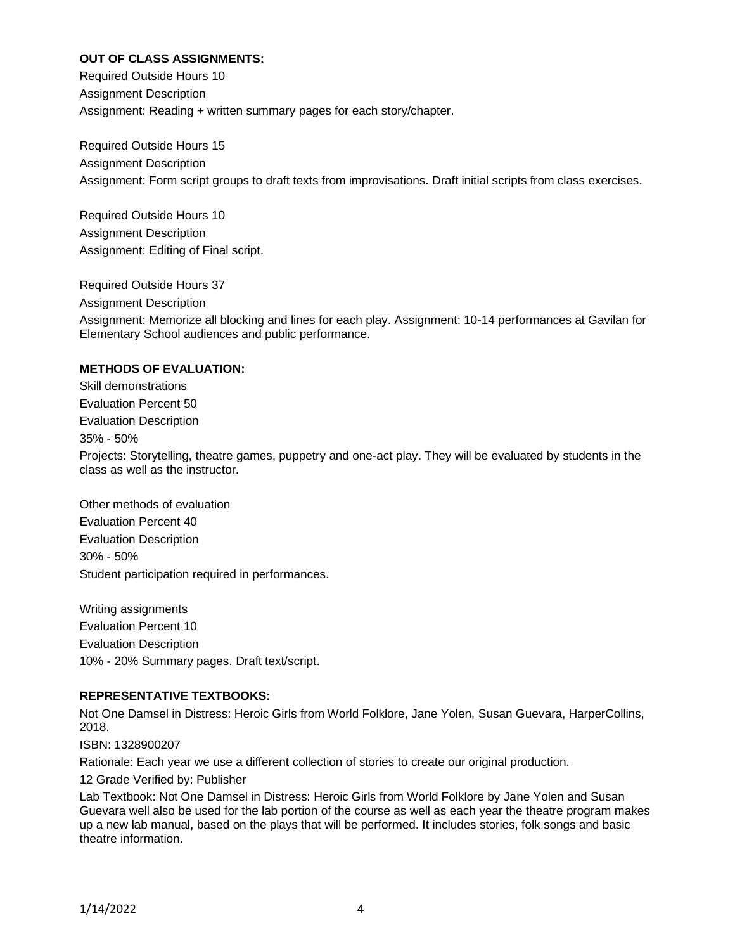### **OUT OF CLASS ASSIGNMENTS:**

Required Outside Hours 10 Assignment Description Assignment: Reading + written summary pages for each story/chapter.

Required Outside Hours 15 Assignment Description Assignment: Form script groups to draft texts from improvisations. Draft initial scripts from class exercises.

Required Outside Hours 10 Assignment Description Assignment: Editing of Final script.

Required Outside Hours 37 Assignment Description Assignment: Memorize all blocking and lines for each play. Assignment: 10-14 performances at Gavilan for Elementary School audiences and public performance.

#### **METHODS OF EVALUATION:**

Skill demonstrations Evaluation Percent 50 Evaluation Description 35% - 50% Projects: Storytelling, theatre games, puppetry and one-act play. They will be evaluated by students in the class as well as the instructor.

Other methods of evaluation Evaluation Percent 40 Evaluation Description 30% - 50% Student participation required in performances.

Writing assignments Evaluation Percent 10 Evaluation Description 10% - 20% Summary pages. Draft text/script.

### **REPRESENTATIVE TEXTBOOKS:**

Not One Damsel in Distress: Heroic Girls from World Folklore, Jane Yolen, Susan Guevara, HarperCollins, 2018.

ISBN: 1328900207

Rationale: Each year we use a different collection of stories to create our original production.

12 Grade Verified by: Publisher

Lab Textbook: Not One Damsel in Distress: Heroic Girls from World Folklore by Jane Yolen and Susan Guevara well also be used for the lab portion of the course as well as each year the theatre program makes up a new lab manual, based on the plays that will be performed. It includes stories, folk songs and basic theatre information.